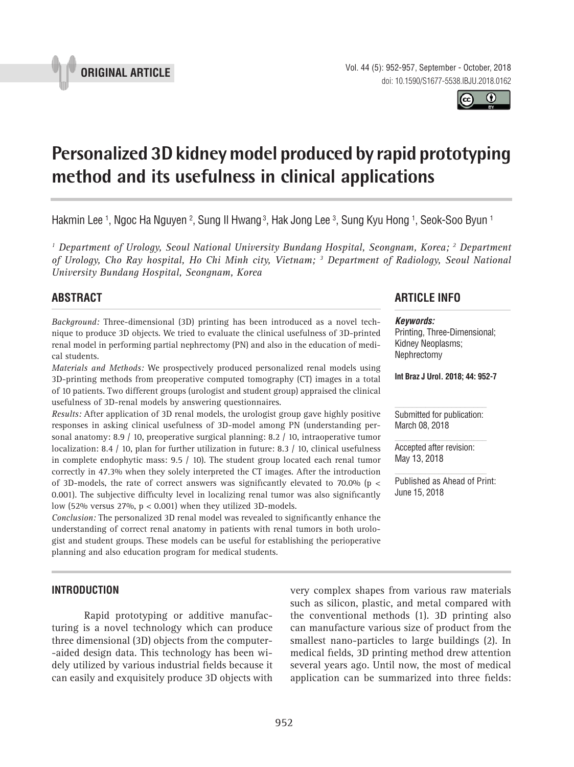



# **Personalized 3D kidney model produced by rapid prototyping method and its usefulness in clinical applications \_\_\_\_\_\_\_\_\_\_\_\_\_\_\_\_\_\_\_\_\_\_\_\_\_\_\_\_\_\_\_\_\_\_\_\_\_\_\_\_\_\_\_\_\_\_\_**

Hakmin Lee 1, Ngoc Ha Nguyen <sup>2</sup>, Sung II Hwang <sup>3</sup>, Hak Jong Lee <sup>3</sup>, Sung Kyu Hong 1, Seok-Soo Byun 1

<sup>1</sup> Department of Urology, Seoul National University Bundang Hospital, Seongnam, Korea; <sup>2</sup> Department *of Urology, Cho Ray hospital, Ho Chi Minh city, Vietnam; 3 Department of Radiology, Seoul National University Bundang Hospital, Seongnam, Korea*

## **ABSTRACT**

*Background:* Three-dimensional (3D) printing has been introduced as a novel technique to produce 3D objects. We tried to evaluate the clinical usefulness of 3D-printed renal model in performing partial nephrectomy (PN) and also in the education of medical students.

*Materials and Methods:* We prospectively produced personalized renal models using 3D-printing methods from preoperative computed tomography (CT) images in a total of 10 patients. Two different groups (urologist and student group) appraised the clinical usefulness of 3D-renal models by answering questionnaires.

*Results:* After application of 3D renal models, the urologist group gave highly positive responses in asking clinical usefulness of 3D-model among PN (understanding personal anatomy: 8.9 / 10, preoperative surgical planning: 8.2 / 10, intraoperative tumor localization: 8.4 / 10, plan for further utilization in future: 8.3 / 10, clinical usefulness in complete endophytic mass:  $9.5 / 10$ ). The student group located each renal tumor correctly in 47.3% when they solely interpreted the CT images. After the introduction of 3D-models, the rate of correct answers was significantly elevated to 70.0% ( $p <$ 0.001). The subjective difficulty level in localizing renal tumor was also significantly low (52% versus 27%,  $p < 0.001$ ) when they utilized 3D-models.

*Conclusion:* The personalized 3D renal model was revealed to significantly enhance the understanding of correct renal anatomy in patients with renal tumors in both urologist and student groups. These models can be useful for establishing the perioperative planning and also education program for medical students.

# **ARTICLE INFO**

#### *Keywords:*

Printing, Three-Dimensional; Kidney Neoplasms; Nephrectomy

**Int Braz J Urol. 2018; 44: 952-7**

Submitted for publication: March 08, 2018

Accepted after revision: May 13, 2018

Published as Ahead of Print: June 15, 2018

## **INTRODUCTION**

Rapid prototyping or additive manufacturing is a novel technology which can produce three dimensional (3D) objects from the computer- -aided design data. This technology has been widely utilized by various industrial fields because it can easily and exquisitely produce 3D objects with very complex shapes from various raw materials such as silicon, plastic, and metal compared with the conventional methods (1). 3D printing also can manufacture various size of product from the smallest nano-particles to large buildings (2). In medical fields, 3D printing method drew attention several years ago. Until now, the most of medical application can be summarized into three fields: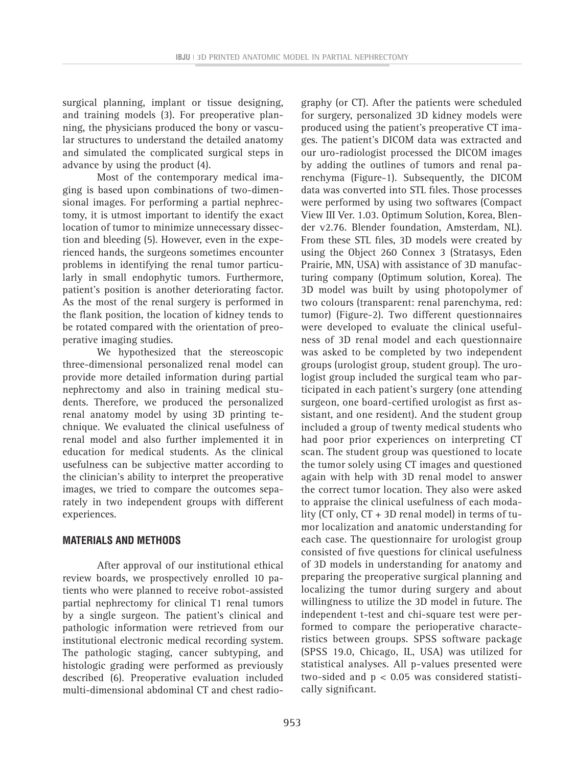surgical planning, implant or tissue designing, and training models (3). For preoperative planning, the physicians produced the bony or vascular structures to understand the detailed anatomy and simulated the complicated surgical steps in advance by using the product (4).

Most of the contemporary medical imaging is based upon combinations of two-dimensional images. For performing a partial nephrectomy, it is utmost important to identify the exact location of tumor to minimize unnecessary dissection and bleeding (5). However, even in the experienced hands, the surgeons sometimes encounter problems in identifying the renal tumor particularly in small endophytic tumors. Furthermore, patient's position is another deteriorating factor. As the most of the renal surgery is performed in the flank position, the location of kidney tends to be rotated compared with the orientation of preoperative imaging studies.

We hypothesized that the stereoscopic three-dimensional personalized renal model can provide more detailed information during partial nephrectomy and also in training medical students. Therefore, we produced the personalized renal anatomy model by using 3D printing technique. We evaluated the clinical usefulness of renal model and also further implemented it in education for medical students. As the clinical usefulness can be subjective matter according to the clinician's ability to interpret the preoperative images, we tried to compare the outcomes separately in two independent groups with different experiences.

## **MATERIALS AND METHODS**

After approval of our institutional ethical review boards, we prospectively enrolled 10 patients who were planned to receive robot-assisted partial nephrectomy for clinical T1 renal tumors by a single surgeon. The patient's clinical and pathologic information were retrieved from our institutional electronic medical recording system. The pathologic staging, cancer subtyping, and histologic grading were performed as previously described (6). Preoperative evaluation included multi-dimensional abdominal CT and chest radio-

graphy (or CT). After the patients were scheduled for surgery, personalized 3D kidney models were produced using the patient's preoperative CT images. The patient's DICOM data was extracted and our uro-radiologist processed the DICOM images by adding the outlines of tumors and renal parenchyma (Figure-1). Subsequently, the DICOM data was converted into STL files. Those processes were performed by using two softwares (Compact View III Ver. 1.03. Optimum Solution, Korea, Blender v2.76. Blender foundation, Amsterdam, NL). From these STL files, 3D models were created by using the Object 260 Connex 3 (Stratasys, Eden Prairie, MN, USA) with assistance of 3D manufacturing company (Optimum solution, Korea). The 3D model was built by using photopolymer of two colours (transparent: renal parenchyma, red: tumor) (Figure-2). Two different questionnaires were developed to evaluate the clinical usefulness of 3D renal model and each questionnaire was asked to be completed by two independent groups (urologist group, student group). The urologist group included the surgical team who participated in each patient's surgery (one attending surgeon, one board-certified urologist as first assistant, and one resident). And the student group included a group of twenty medical students who had poor prior experiences on interpreting CT scan. The student group was questioned to locate the tumor solely using CT images and questioned again with help with 3D renal model to answer the correct tumor location. They also were asked to appraise the clinical usefulness of each modality (CT only, CT + 3D renal model) in terms of tumor localization and anatomic understanding for each case. The questionnaire for urologist group consisted of five questions for clinical usefulness of 3D models in understanding for anatomy and preparing the preoperative surgical planning and localizing the tumor during surgery and about willingness to utilize the 3D model in future. The independent t-test and chi-square test were performed to compare the perioperative characteristics between groups. SPSS software package (SPSS 19.0, Chicago, IL, USA) was utilized for statistical analyses. All p-values presented were two-sided and p < 0.05 was considered statistically significant.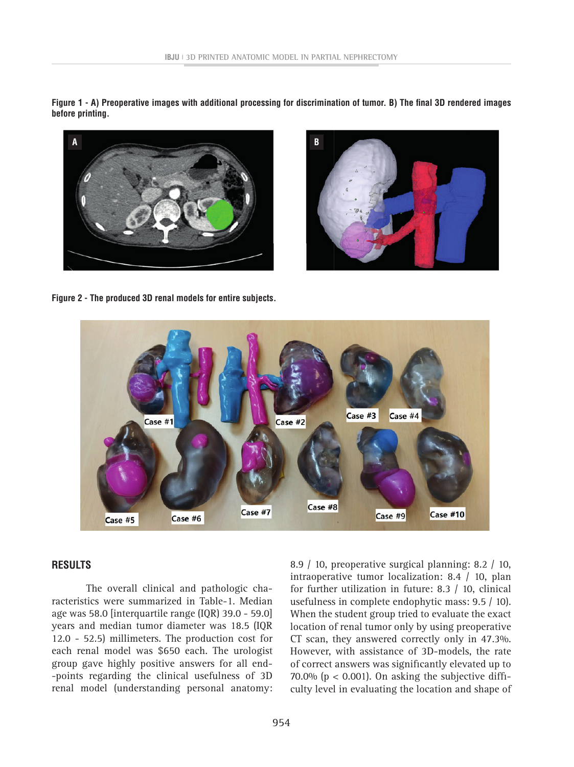Figure 1 - A) Preoperative images with additional processing for discrimination of tumor. B) The final 3D rendered images **before printing.**





**figure 2 - The produced 3D renal models for entire subjects.**



#### **RESULTS**

 The overall clinical and pathologic characteristics were summarized in Table-1. Median age was 58.0 [interquartile range (IQR) 39.0 - 59.0] years and median tumor diameter was 18.5 (IQR 12.0 - 52.5) millimeters. The production cost for each renal model was \$650 each. The urologist group gave highly positive answers for all end- -points regarding the clinical usefulness of 3D renal model (understanding personal anatomy: 8.9 / 10, preoperative surgical planning: 8.2 / 10, intraoperative tumor localization: 8.4 / 10, plan for further utilization in future: 8.3 / 10, clinical usefulness in complete endophytic mass: 9.5 / 10). When the student group tried to evaluate the exact location of renal tumor only by using preoperative CT scan, they answered correctly only in 47.3%. However, with assistance of 3D-models, the rate of correct answers was significantly elevated up to 70.0% ( $p < 0.001$ ). On asking the subjective difficulty level in evaluating the location and shape of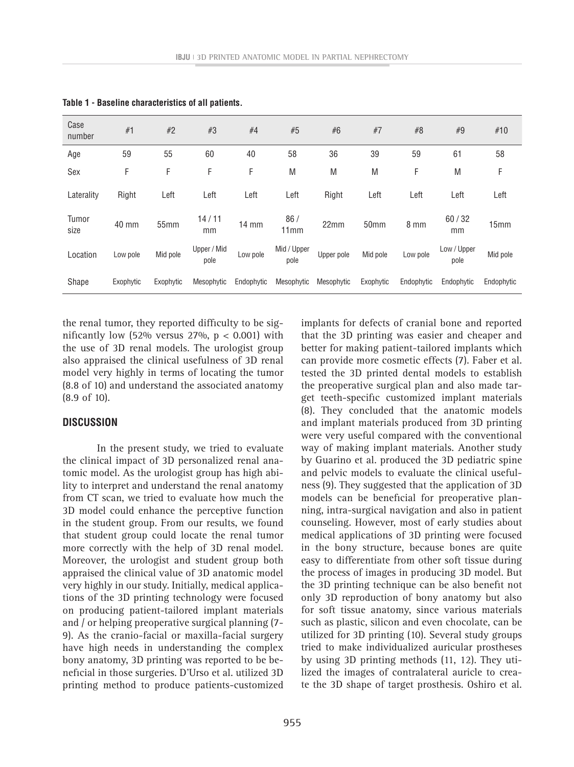| Case<br>number | #1        | $#2$      | #3                  | #4              | #5                  | #6         | #7        | #8         | #9                  | #10              |
|----------------|-----------|-----------|---------------------|-----------------|---------------------|------------|-----------|------------|---------------------|------------------|
| Age            | 59        | 55        | 60                  | 40              | 58                  | 36         | 39        | 59         | 61                  | 58               |
| Sex            | F         | F         | F                   | F               | M                   | M          | M         | F          | M                   | F                |
| Laterality     | Right     | Left      | Left                | Left            | Left                | Right      | Left      | Left       | Left                | Left             |
| Tumor<br>size  | 40 mm     | 55mm      | 14/11<br>mm         | $14 \text{ mm}$ | 86/<br>11mm         | 22mm       | 50mm      | 8 mm       | 60/32<br>mm         | 15 <sub>mm</sub> |
| Location       | Low pole  | Mid pole  | Upper / Mid<br>pole | Low pole        | Mid / Upper<br>pole | Upper pole | Mid pole  | Low pole   | Low / Upper<br>pole | Mid pole         |
| Shape          | Exophytic | Exophytic | Mesophytic          | Endophytic      | Mesophytic          | Mesophytic | Exophytic | Endophytic | Endophytic          | Endophytic       |

**Table 1 - Baseline characteristics of all patients.**

the renal tumor, they reported difficulty to be significantly low (52% versus 27%,  $p < 0.001$ ) with the use of 3D renal models. The urologist group also appraised the clinical usefulness of 3D renal model very highly in terms of locating the tumor (8.8 of 10) and understand the associated anatomy (8.9 of 10).

### **DISCUSSION**

In the present study, we tried to evaluate the clinical impact of 3D personalized renal anatomic model. As the urologist group has high ability to interpret and understand the renal anatomy from CT scan, we tried to evaluate how much the 3D model could enhance the perceptive function in the student group. From our results, we found that student group could locate the renal tumor more correctly with the help of 3D renal model. Moreover, the urologist and student group both appraised the clinical value of 3D anatomic model very highly in our study. Initially, medical applications of the 3D printing technology were focused on producing patient-tailored implant materials and / or helping preoperative surgical planning (7- 9). As the cranio-facial or maxilla-facial surgery have high needs in understanding the complex bony anatomy, 3D printing was reported to be beneficial in those surgeries. D'Urso et al. utilized 3D printing method to produce patients-customized

that the 3D printing was easier and cheaper and better for making patient-tailored implants which can provide more cosmetic effects (7). Faber et al. tested the 3D printed dental models to establish the preoperative surgical plan and also made target teeth-specific customized implant materials (8). They concluded that the anatomic models and implant materials produced from 3D printing were very useful compared with the conventional way of making implant materials. Another study by Guarino et al. produced the 3D pediatric spine and pelvic models to evaluate the clinical usefulness (9). They suggested that the application of 3D models can be beneficial for preoperative planning, intra-surgical navigation and also in patient counseling. However, most of early studies about medical applications of 3D printing were focused in the bony structure, because bones are quite easy to differentiate from other soft tissue during the process of images in producing 3D model. But the 3D printing technique can be also benefit not only 3D reproduction of bony anatomy but also for soft tissue anatomy, since various materials such as plastic, silicon and even chocolate, can be utilized for 3D printing (10). Several study groups tried to make individualized auricular prostheses by using 3D printing methods (11, 12). They utilized the images of contralateral auricle to create the 3D shape of target prosthesis. Oshiro et al.

implants for defects of cranial bone and reported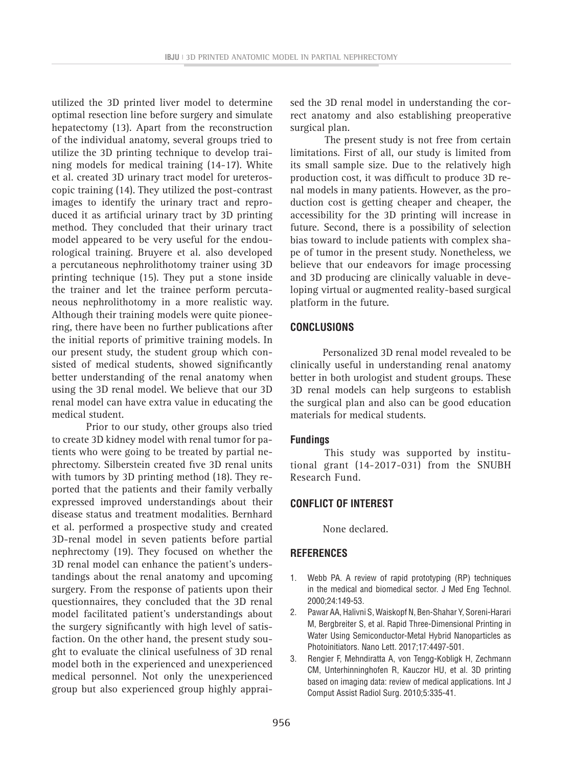utilized the 3D printed liver model to determine optimal resection line before surgery and simulate hepatectomy (13). Apart from the reconstruction of the individual anatomy, several groups tried to utilize the 3D printing technique to develop training models for medical training (14-17). White et al. created 3D urinary tract model for ureteroscopic training (14). They utilized the post-contrast images to identify the urinary tract and reproduced it as artificial urinary tract by 3D printing method. They concluded that their urinary tract model appeared to be very useful for the endourological training. Bruyere et al. also developed a percutaneous nephrolithotomy trainer using 3D printing technique (15). They put a stone inside the trainer and let the trainee perform percutaneous nephrolithotomy in a more realistic way. Although their training models were quite pioneering, there have been no further publications after the initial reports of primitive training models. In our present study, the student group which consisted of medical students, showed significantly better understanding of the renal anatomy when using the 3D renal model. We believe that our 3D renal model can have extra value in educating the medical student.

Prior to our study, other groups also tried to create 3D kidney model with renal tumor for patients who were going to be treated by partial nephrectomy. Silberstein created five 3D renal units with tumors by 3D printing method (18). They reported that the patients and their family verbally expressed improved understandings about their disease status and treatment modalities. Bernhard et al. performed a prospective study and created 3D-renal model in seven patients before partial nephrectomy (19). They focused on whether the 3D renal model can enhance the patient's understandings about the renal anatomy and upcoming surgery. From the response of patients upon their questionnaires, they concluded that the 3D renal model facilitated patient's understandings about the surgery significantly with high level of satisfaction. On the other hand, the present study sought to evaluate the clinical usefulness of 3D renal model both in the experienced and unexperienced medical personnel. Not only the unexperienced group but also experienced group highly appraised the 3D renal model in understanding the correct anatomy and also establishing preoperative surgical plan.

The present study is not free from certain limitations. First of all, our study is limited from its small sample size. Due to the relatively high production cost, it was difficult to produce 3D renal models in many patients. However, as the production cost is getting cheaper and cheaper, the accessibility for the 3D printing will increase in future. Second, there is a possibility of selection bias toward to include patients with complex shape of tumor in the present study. Nonetheless, we believe that our endeavors for image processing and 3D producing are clinically valuable in developing virtual or augmented reality-based surgical platform in the future.

## **CONCLUSIONS**

Personalized 3D renal model revealed to be clinically useful in understanding renal anatomy better in both urologist and student groups. These 3D renal models can help surgeons to establish the surgical plan and also can be good education materials for medical students.

#### **Fundings**

This study was supported by institutional grant (14-2017-031) from the SNUBH Research Fund.

## **CONFLICT OF INTEREST**

None declared.

## **REFERENCES**

- 1. Webb PA. A review of rapid prototyping (RP) techniques in the medical and biomedical sector. J Med Eng Technol. 2000;24:149-53.
- 2. Pawar AA, Halivni S, Waiskopf N, Ben-Shahar Y, Soreni-Harari M, Bergbreiter S, et al. Rapid Three-Dimensional Printing in Water Using Semiconductor-Metal Hybrid Nanoparticles as Photoinitiators. Nano Lett. 2017;17:4497-501.
- 3. Rengier F, Mehndiratta A, von Tengg-Kobligk H, Zechmann CM, Unterhinninghofen R, Kauczor HU, et al. 3D printing based on imaging data: review of medical applications. Int J Comput Assist Radiol Surg. 2010;5:335-41.